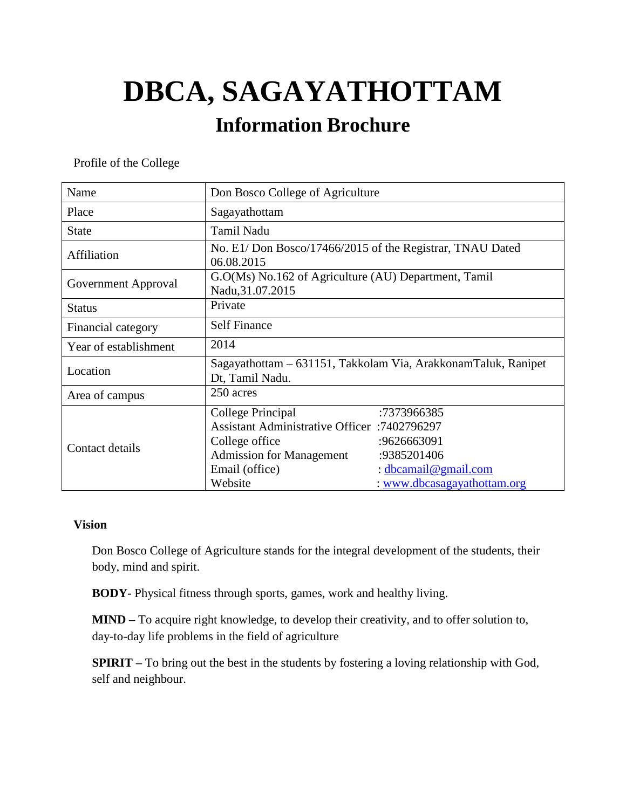# **DBCA, SAGAYATHOTTAM**

## **Information Brochure**

Profile of the College

| Name                  | Don Bosco College of Agriculture                                                                                                                           |                                                                                                  |
|-----------------------|------------------------------------------------------------------------------------------------------------------------------------------------------------|--------------------------------------------------------------------------------------------------|
| Place                 | Sagayathottam                                                                                                                                              |                                                                                                  |
| State                 | <b>Tamil Nadu</b>                                                                                                                                          |                                                                                                  |
| Affiliation           | No. E1/ Don Bosco/17466/2015 of the Registrar, TNAU Dated<br>06.08.2015                                                                                    |                                                                                                  |
| Government Approval   | G.O(Ms) No.162 of Agriculture (AU) Department, Tamil<br>Nadu, 31.07.2015                                                                                   |                                                                                                  |
| <b>Status</b>         | Private                                                                                                                                                    |                                                                                                  |
| Financial category    | <b>Self Finance</b>                                                                                                                                        |                                                                                                  |
| Year of establishment | 2014                                                                                                                                                       |                                                                                                  |
| Location              | Sagayathottam – 631151, Takkolam Via, ArakkonamTaluk, Ranipet<br>Dt, Tamil Nadu.                                                                           |                                                                                                  |
| Area of campus        | 250 acres                                                                                                                                                  |                                                                                                  |
| Contact details       | College Principal<br><b>Assistant Administrative Officer</b> :7402796297<br>College office<br><b>Admission for Management</b><br>Email (office)<br>Website | :7373966385<br>:9626663091<br>:9385201406<br>: dbcamail@gmail.com<br>: www.dbcasagayathottam.org |

#### **Vision**

Don Bosco College of Agriculture stands for the integral development of the students, their body, mind and spirit.

**BODY-** Physical fitness through sports, games, work and healthy living.

**MIND –** To acquire right knowledge, to develop their creativity, and to offer solution to, day-to-day life problems in the field of agriculture

**SPIRIT –** To bring out the best in the students by fostering a loving relationship with God, self and neighbour.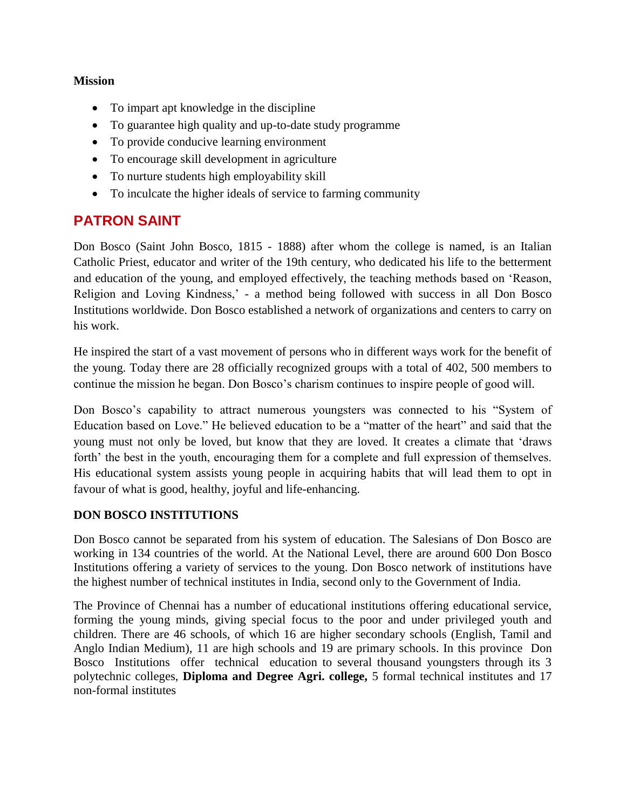#### **Mission**

- To impart apt knowledge in the discipline
- To guarantee high quality and up-to-date study programme
- To provide conducive learning environment
- To encourage skill development in agriculture
- To nurture students high employability skill
- To inculcate the higher ideals of service to farming community

### **PATRON SAINT**

Don Bosco (Saint John Bosco, 1815 - 1888) after whom the college is named, is an Italian Catholic Priest, educator and writer of the 19th century, who dedicated his life to the betterment and education of the young, and employed effectively, the teaching methods based on "Reason, Religion and Loving Kindness,' - a method being followed with success in all Don Bosco Institutions worldwide. Don Bosco established a network of organizations and centers to carry on his work.

He inspired the start of a vast movement of persons who in different ways work for the benefit of the young. Today there are 28 officially recognized groups with a total of 402, 500 members to continue the mission he began. Don Bosco"s charism continues to inspire people of good will.

Don Bosco"s capability to attract numerous youngsters was connected to his "System of Education based on Love." He believed education to be a "matter of the heart" and said that the young must not only be loved, but know that they are loved. It creates a climate that "draws forth' the best in the youth, encouraging them for a complete and full expression of themselves. His educational system assists young people in acquiring habits that will lead them to opt in favour of what is good, healthy, joyful and life-enhancing.

#### **DON BOSCO INSTITUTIONS**

Don Bosco cannot be separated from his system of education. The Salesians of Don Bosco are working in 134 countries of the world. At the National Level, there are around 600 Don Bosco Institutions offering a variety of services to the young. Don Bosco network of institutions have the highest number of technical institutes in India, second only to the Government of India.

The Province of Chennai has a number of educational institutions offering educational service, forming the young minds, giving special focus to the poor and under privileged youth and children. There are 46 schools, of which 16 are higher secondary schools (English, Tamil and Anglo Indian Medium), 11 are high schools and 19 are primary schools. In this province Don Bosco Institutions offer technical education to several thousand youngsters through its 3 polytechnic colleges, **Diploma and Degree Agri. college,** 5 formal technical institutes and 17 non-formal institutes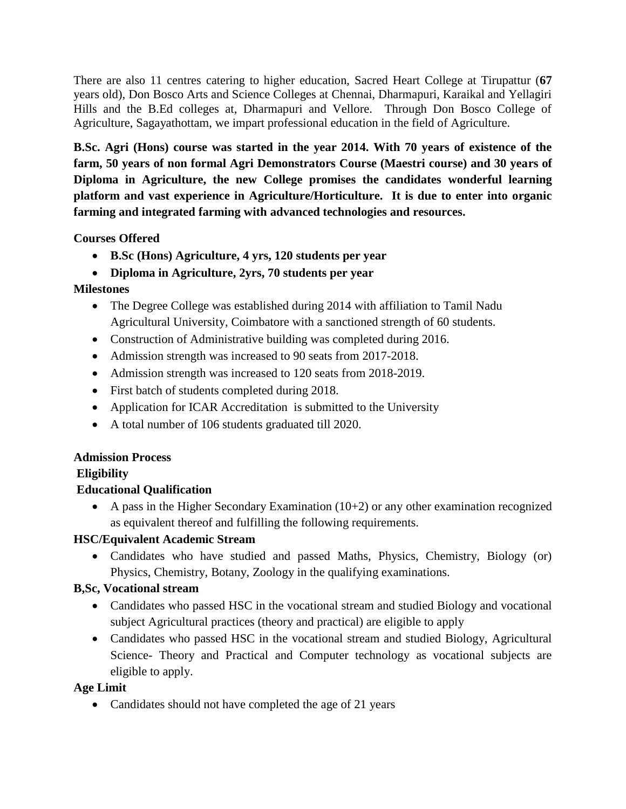There are also 11 centres catering to higher education, Sacred Heart College at Tirupattur (**67**  years old), Don Bosco Arts and Science Colleges at Chennai, Dharmapuri, Karaikal and Yellagiri Hills and the B.Ed colleges at, Dharmapuri and Vellore. Through Don Bosco College of Agriculture, Sagayathottam, we impart professional education in the field of Agriculture.

**B.Sc. Agri (Hons) course was started in the year 2014. With 70 years of existence of the farm, 50 years of non formal Agri Demonstrators Course (Maestri course) and 30 years of Diploma in Agriculture, the new College promises the candidates wonderful learning platform and vast experience in Agriculture/Horticulture. It is due to enter into organic farming and integrated farming with advanced technologies and resources.**

**Courses Offered**

- **B.Sc (Hons) Agriculture, 4 yrs, 120 students per year**
- **Diploma in Agriculture, 2yrs, 70 students per year**

#### **Milestones**

- The Degree College was established during 2014 with affiliation to Tamil Nadu Agricultural University, Coimbatore with a sanctioned strength of 60 students.
- Construction of Administrative building was completed during 2016.
- Admission strength was increased to 90 seats from 2017-2018.
- Admission strength was increased to 120 seats from 2018-2019.
- First batch of students completed during 2018.
- Application for ICAR Accreditation is submitted to the University
- A total number of 106 students graduated till 2020.

#### **Admission Process**

#### **Eligibility**

#### **Educational Qualification**

A pass in the Higher Secondary Examination  $(10+2)$  or any other examination recognized as equivalent thereof and fulfilling the following requirements.

#### **HSC/Equivalent Academic Stream**

 Candidates who have studied and passed Maths, Physics, Chemistry, Biology (or) Physics, Chemistry, Botany, Zoology in the qualifying examinations.

#### **B,Sc, Vocational stream**

- Candidates who passed HSC in the vocational stream and studied Biology and vocational subject Agricultural practices (theory and practical) are eligible to apply
- Candidates who passed HSC in the vocational stream and studied Biology, Agricultural Science- Theory and Practical and Computer technology as vocational subjects are eligible to apply.

#### **Age Limit**

• Candidates should not have completed the age of 21 years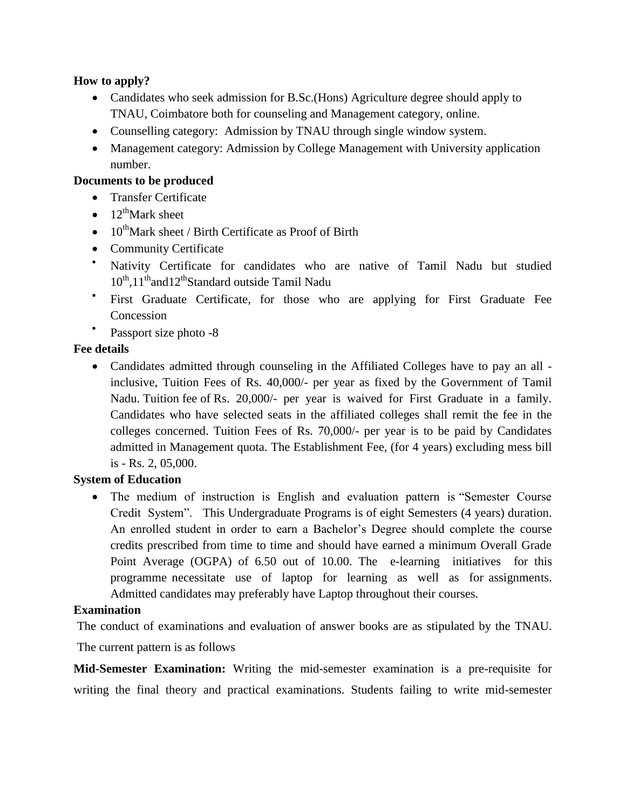#### **How to apply?**

- Candidates who seek admission for B.Sc.(Hons) Agriculture degree should apply to TNAU, Coimbatore both for counseling and Management category, online.
- Counselling category: Admission by TNAU through single window system.
- Management category: Admission by College Management with University application number.

#### **Documents to be produced**

- Transfer Certificate
- $12^{\text{th}}$ Mark sheet
- $\bullet$  10<sup>th</sup>Mark sheet / Birth Certificate as Proof of Birth
- Community Certificate
- Nativity Certificate for candidates who are native of Tamil Nadu but studied 10<sup>th</sup>,11<sup>th</sup>and12<sup>th</sup>Standard outside Tamil Nadu
- $\bullet$ First Graduate Certificate, for those who are applying for First Graduate Fee Concession
- $\bullet$ Passport size photo -8

#### **Fee details**

• Candidates admitted through counseling in the Affiliated Colleges have to pay an all inclusive, Tuition Fees of Rs. 40,000/- per year as fixed by the Government of Tamil Nadu. Tuition fee of Rs. 20,000/- per year is waived for First Graduate in a family. Candidates who have selected seats in the affiliated colleges shall remit the fee in the colleges concerned. Tuition Fees of Rs. 70,000/- per year is to be paid by Candidates admitted in Management quota. The Establishment Fee, (for 4 years) excluding mess bill is - Rs. 2, 05,000.

#### **System of Education**

 The medium of instruction is English and evaluation pattern is "Semester Course Credit System". This Undergraduate Programs is of eight Semesters (4 years) duration. An enrolled student in order to earn a Bachelor"s Degree should complete the course credits prescribed from time to time and should have earned a minimum Overall Grade Point Average (OGPA) of 6.50 out of 10.00. The e-learning initiatives for this programme necessitate use of laptop for learning as well as for assignments. Admitted candidates may preferably have Laptop throughout their courses.

#### **Examination**

The conduct of examinations and evaluation of answer books are as stipulated by the TNAU. The current pattern is as follows

**Mid-Semester Examination:** Writing the mid-semester examination is a pre-requisite for writing the final theory and practical examinations. Students failing to write mid-semester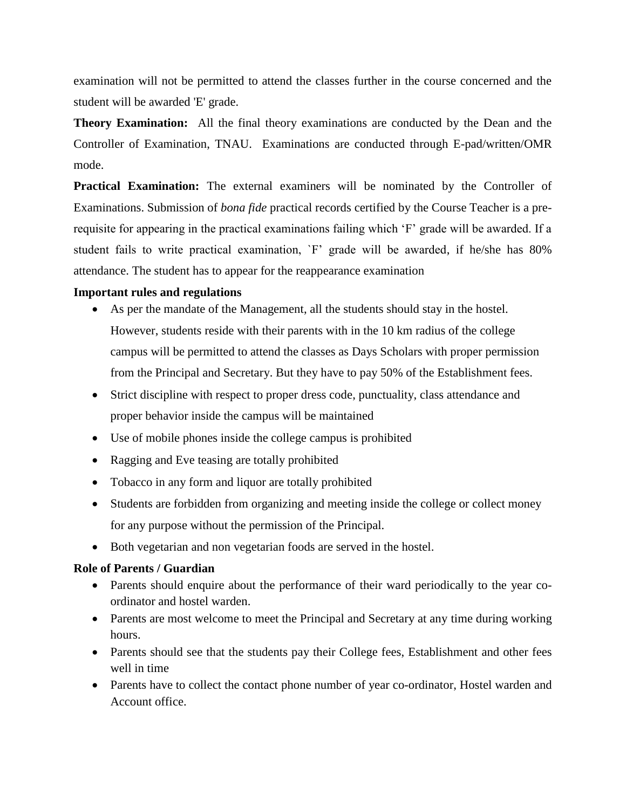examination will not be permitted to attend the classes further in the course concerned and the student will be awarded 'E' grade.

**Theory Examination:** All the final theory examinations are conducted by the Dean and the Controller of Examination, TNAU. Examinations are conducted through E-pad/written/OMR mode.

**Practical Examination:** The external examiners will be nominated by the Controller of Examinations. Submission of *bona fide* practical records certified by the Course Teacher is a prerequisite for appearing in the practical examinations failing which "F" grade will be awarded. If a student fails to write practical examination, `F" grade will be awarded, if he/she has 80% attendance. The student has to appear for the reappearance examination

#### **Important rules and regulations**

- As per the mandate of the Management, all the students should stay in the hostel. However, students reside with their parents with in the 10 km radius of the college campus will be permitted to attend the classes as Days Scholars with proper permission from the Principal and Secretary. But they have to pay 50% of the Establishment fees.
- Strict discipline with respect to proper dress code, punctuality, class attendance and proper behavior inside the campus will be maintained
- Use of mobile phones inside the college campus is prohibited
- Ragging and Eve teasing are totally prohibited
- Tobacco in any form and liquor are totally prohibited
- Students are forbidden from organizing and meeting inside the college or collect money for any purpose without the permission of the Principal.
- Both vegetarian and non vegetarian foods are served in the hostel.

#### **Role of Parents / Guardian**

- Parents should enquire about the performance of their ward periodically to the year coordinator and hostel warden.
- Parents are most welcome to meet the Principal and Secretary at any time during working hours.
- Parents should see that the students pay their College fees, Establishment and other fees well in time
- Parents have to collect the contact phone number of year co-ordinator, Hostel warden and Account office.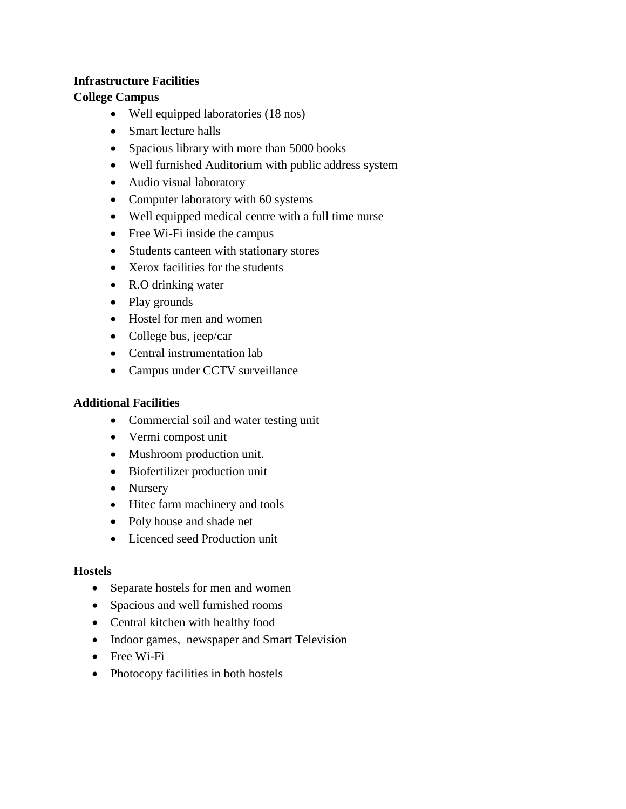#### **Infrastructure Facilities**

#### **College Campus**

- Well equipped laboratories (18 nos)
- Smart lecture halls
- Spacious library with more than 5000 books
- Well furnished Auditorium with public address system
- Audio visual laboratory
- Computer laboratory with 60 systems
- Well equipped medical centre with a full time nurse
- Free Wi-Fi inside the campus
- Students canteen with stationary stores
- Xerox facilities for the students
- R.O drinking water
- Play grounds
- Hostel for men and women
- College bus, jeep/car
- Central instrumentation lab
- Campus under CCTV surveillance

#### **Additional Facilities**

- Commercial soil and water testing unit
- Vermi compost unit
- Mushroom production unit.
- Biofertilizer production unit
- Nursery
- Hitec farm machinery and tools
- Poly house and shade net
- Licenced seed Production unit

#### **Hostels**

- Separate hostels for men and women
- Spacious and well furnished rooms
- Central kitchen with healthy food
- Indoor games, newspaper and Smart Television
- Free Wi-Fi
- Photocopy facilities in both hostels